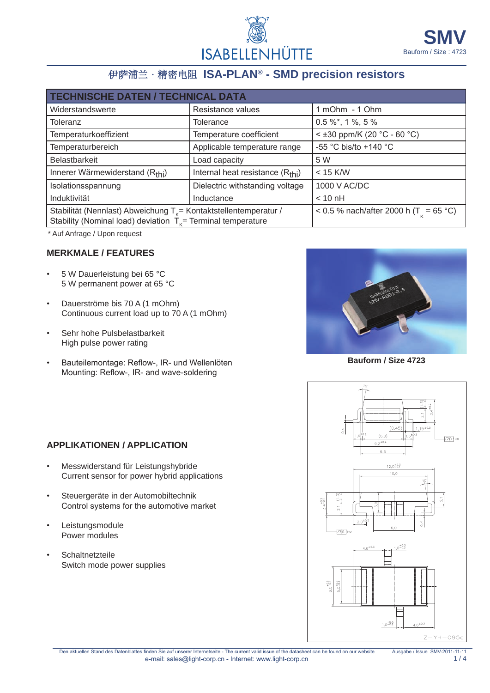

# 伊萨浦兰 · 精密电阻 ISA-PLAN® - SMD precision resistors

| <b>TECHNISCHE DATEN / TECHNICAL DATA</b>                                                                                            |                                              |                                                    |  |  |  |
|-------------------------------------------------------------------------------------------------------------------------------------|----------------------------------------------|----------------------------------------------------|--|--|--|
| Widerstandswerte                                                                                                                    | Resistance values                            | 1 mOhm - 1 Ohm                                     |  |  |  |
| Toleranz                                                                                                                            | Tolerance                                    | $0.5\%$ *, 1%, 5%                                  |  |  |  |
| Temperaturkoeffizient                                                                                                               | Temperature coefficient                      | $<$ ±30 ppm/K (20 °C - 60 °C)                      |  |  |  |
| Temperaturbereich                                                                                                                   | Applicable temperature range                 | -55 °C bis/to +140 °C                              |  |  |  |
| Belastbarkeit                                                                                                                       | Load capacity                                | 5 W                                                |  |  |  |
| Innerer Wärmewiderstand (Rthi)                                                                                                      | Internal heat resistance (R <sub>thi</sub> ) | $<$ 15 K/W                                         |  |  |  |
| Isolationsspannung                                                                                                                  | Dielectric withstanding voltage              | 1000 V AC/DC                                       |  |  |  |
| Induktivität                                                                                                                        | Inductance                                   | $< 10 \text{ nH}$                                  |  |  |  |
| Stabilität (Nennlast) Abweichung $T_k$ = Kontaktstellentemperatur /<br>Stability (Nominal load) deviation $Tk$ Terminal temperature |                                              | < 0.5 % nach/after 2000 h (T <sub>y</sub> = 65 °C) |  |  |  |

\* Auf Anfrage / Upon request

#### **Merkmale / features**

- 5 W Dauerleistung bei 65 °C 5 W permanent power at 65 °C
- Dauerströme bis 70 A (1 mOhm) Continuous current load up to 70 A (1 mOhm)
- Sehr hohe Pulsbelastbarkeit High pulse power rating
- Bauteilemontage: Reflow-, IR- und Wellenlöten Mounting: Reflow-, IR- and wave-soldering



**Bauform / Size 4723**



### **Applikationen / application**

- Messwiderstand für Leistungshybride Current sensor for power hybrid applications
- Steuergeräte in der Automobiltechnik Control systems for the automotive market
- **Leistungsmodule** Power modules
- Schaltnetzteile Switch mode power supplies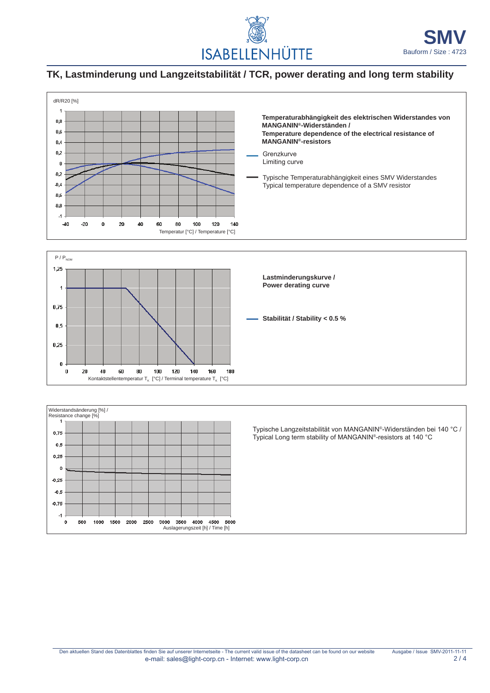

## **TK, Lastminderung und Langzeitstabilität / TCR, power derating and long term stability**





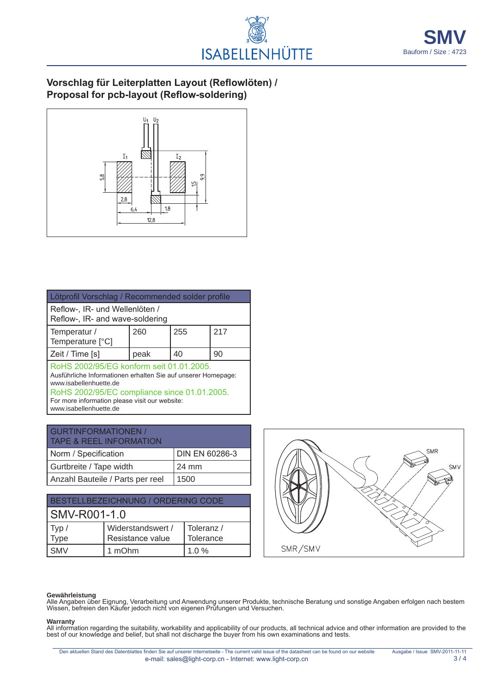

### **Vorschlag für Leiterplatten Layout (Reflowlöten) / Proposal for pcb-layout (Reflow-soldering)**



| Lötprofil Vorschlag / Recommended solder profile                                                                                                                                                                                      |      |     |     |  |
|---------------------------------------------------------------------------------------------------------------------------------------------------------------------------------------------------------------------------------------|------|-----|-----|--|
| Reflow-, IR- und Wellenlöten /<br>Reflow-, IR- and wave-soldering                                                                                                                                                                     |      |     |     |  |
| Temperatur /<br>Temperature [°C]                                                                                                                                                                                                      | 260  | 255 | 217 |  |
| Zeit / Time [s]                                                                                                                                                                                                                       | peak | 40  | 90  |  |
| RoHS 2002/95/EG konform seit 01.01.2005.<br>Ausführliche Informationen erhalten Sie auf unserer Homepage:<br>www.isabellenhuette.de<br>RoHS 2002/95/EC compliance since 01.01.2005.<br>For more information please visit our website: |      |     |     |  |

www.isabellenhuette.de

| <b>GURTINFORMATIONEN /</b><br><b>TAPE &amp; REEL INFORMATION</b> |                |  |  |
|------------------------------------------------------------------|----------------|--|--|
| Norm / Specification                                             | DIN EN 60286-3 |  |  |
| Gurtbreite / Tape width                                          | 24 mm          |  |  |
| Anzahl Bauteile / Parts per reel                                 | 1500           |  |  |

| BESTELLBEZEICHNUNG / ORDERING CODE |                   |            |  |  |  |
|------------------------------------|-------------------|------------|--|--|--|
| <b>SMV-R001-1.0</b>                |                   |            |  |  |  |
| Typ $/$                            | Widerstandswert / | Toleranz / |  |  |  |
| Type                               | Resistance value  | Tolerance  |  |  |  |
| <b>SMV</b>                         | 1 mOhm            | $1.0\%$    |  |  |  |



#### **Gewährleistung**

Alle Angaben über Eignung, Verarbeitung und Anwendung unserer Produkte, technische Beratung und sonstige Angaben erfolgen nach bestem Wissen, befreien den Käufer jedoch nicht von eigenen Prüfungen und Versuchen.

#### **Warranty**

All information regarding the suitability, workability and applicability of our products, all technical advice and other information are provided to the best of our knowledge and belief, but shall not discharge the buyer from his own examinations and tests.